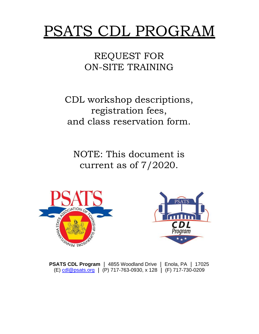# PSATS CDL PROGRAM

REQUEST FOR ON-SITE TRAINING

CDL workshop descriptions, registration fees, and class reservation form.

NOTE: This document is current as of 7/2020.





**PSATS CDL Program** | 4855 Woodland Drive | Enola, PA | 17025 (E) [cdl@psats.org](mailto:cdl@psats.org) (P) 717-763-0930, x 128 (F) 717-730-0209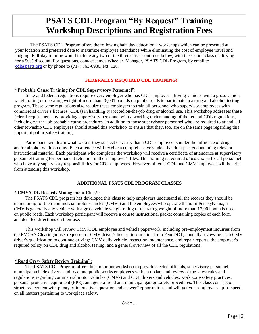## **PSATS CDL Program "By Request" Training Workshop Descriptions and Registration Fees**

The PSATS CDL Program offers the following half-day educational workshops which can be presented at your location and preferred date to maximize employee attendance while eliminating the cost of employee travel and lodging. Full-day training would include any two of the three classes outlined below, with the second class qualifying for a 50% discount. For questions, contact James Wheeler, Manager, PSATS CDL Program, by email to [cdl@psats.org](mailto:cdl@psats.org) or by phone to  $(717)$  763-0930, ext. 128.

#### **FEDERALLY REQUIRED CDL TRAINING!**

#### **"Probable Cause Training for CDL Supervisory Personnel"**:

State and federal regulations require every employer who has CDL employees driving vehicles with a gross vehicle weight rating or operating weight of more than 26,001 pounds on public roads to participate in a drug and alcohol testing program. These same regulations also require these employers to train all personnel who supervisor employees with commercial driver's licenses (CDLs) in handling suspected on-the-job drug or alcohol use. This workshop addresses these federal requirements by providing supervisory personnel with a working understanding of the federal CDL regulations, including on-the-job probable cause procedures. In addition to those supervisory personnel who are required to attend, all other township CDL employees should attend this workshop to ensure that they, too, are on the same page regarding this important public safety training.

Participants will learn what to do if they suspect or verify that a CDL employee is under the influence of drugs and/or alcohol while on duty. Each attendee will receive a comprehensive student handout packet containing relevant instructional material. Each participant who completes the workshop will receive a certificate of attendance at supervisory personnel training for permanent retention in their employer's files. This training is required *at least once* for all personnel who have any supervisory responsibilities for CDL employees. However, all your CDL and CMV employees will benefit from attending this workshop.

#### **ADDITIONAL PSATS CDL PROGRAM CLASSES**

#### **"CMV/CDL Records Management Class"**:

The PSATS CDL program has developed this class to help employers understand all the records they should be maintaining for their commercial motor vehicles (CMVs) and the employees who operate them. In Pennsylvania, a CMV is generally any vehicle with a gross vehicle weight rating or operating weight of more than 17,001 pounds used on public roads. Each workshop participant will receive a course instructional packet containing copies of each form and detailed directions on their use.

This workshop will review CMV/CDL employee and vehicle paperwork, including pre-employment inquiries from the FMCSA Clearinghouse; requests for CMV driver's license information from PennDOT; annually reviewing each CMV driver's qualification to continue driving; CMV daily vehicle inspection, maintenance, and repair reports; the employer's required policy on CDL drug and alcohol testing; and a general overview of all the CDL regulations.

#### **"Road Crew Safety Review Training":**

The PSATS CDL Program offers this important workshop to provide elected officials, supervisory personnel, municipal vehicle drivers, and road and public works employees with an update and review of the latest rules and regulations regarding commercial motor vehicles (CMVs) and CDL drivers and vehicles, work zone safety practices, personal protective equipment (PPE), and general road and municipal garage safety procedures. This class consists of structured content with plenty of interactive "question and answer" opportunities and will get your employees up-to-speed on all matters pertaining to workplace safety.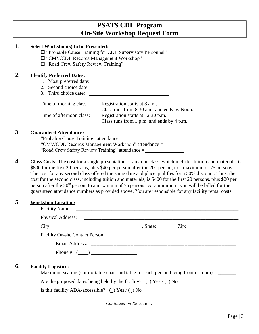### **PSATS CDL Program On-Site Workshop Request Form**

#### **1. Select Workshop(s) to be Presented:**

"Probable Cause Training for CDL Supervisory Personnel"

"CMV/CDL Records Management Workshop"

"Road Crew Safety Review Training"

#### **2. Identify Preferred Dates:**

- 1. Most preferred date:
- 2. Second choice date:
- 3. Third choice date:

| Time of morning class:   | Registration starts at 8 a.m.               |  |
|--------------------------|---------------------------------------------|--|
|                          | Class runs from 8:30 a.m. and ends by Noon. |  |
| Time of afternoon class: | Registration starts at 12:30 p.m.           |  |
|                          | Class runs from 1 p.m. and ends by 4 p.m.   |  |

#### **3. Guaranteed Attendance:**

"Probable Cause Training" attendance = "CMV/CDL Records Management Workshop" attendance = "Road Crew Safety Review Training" attendance =

**4. Class Costs:** The cost for a single presentation of any one class, which includes tuition and materials, is \$800 for the first 20 persons, plus \$40 per person after the 20<sup>th</sup> person, to a maximum of 75 persons. The cost for any second class offered the same date and place qualifies for a 50% discount. Thus, the cost for the second class, including tuition and materials, is \$400 for the first 20 persons, plus \$20 per person after the  $20<sup>th</sup>$  person, to a maximum of 75 persons. At a minimum, you will be billed for the guaranteed attendance numbers as provided above. You are responsible for any facility rental costs.

#### **5. Workshop Location:**

| Phone #: $(\_\_)$ |  |  |
|-------------------|--|--|

#### **6. Facility Logistics:**

Maximum seating (comfortable chair and table for each person facing front of room) = \_\_\_\_\_\_\_

Are the proposed dates being held by the facility?:  $\Box$  Yes  $\Diamond$   $\Box$  No

Is this facility ADA-accessible?: ( ) Yes / ( ) No

*Continued on Reverse …*